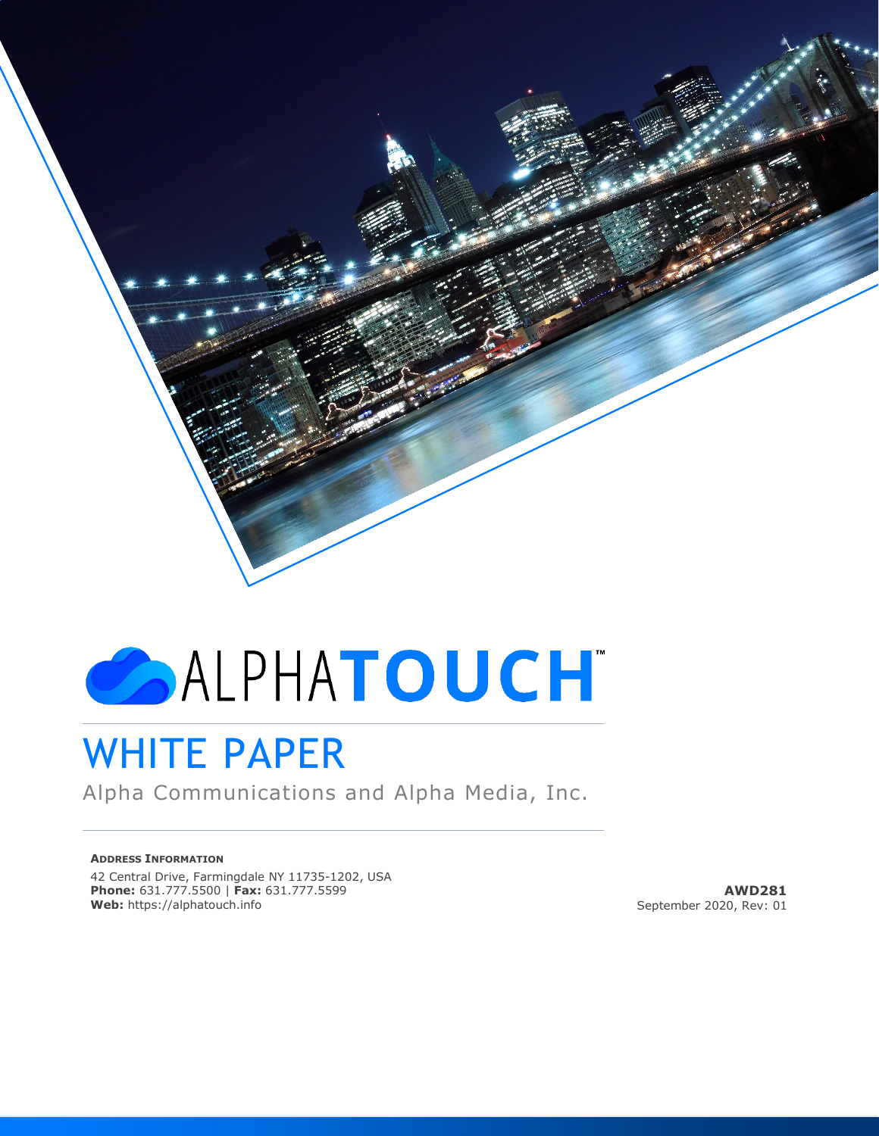# ALPHATOUCH

# WHITE PAPER

Alpha Communications and Alpha Media, Inc.

#### **ADDRESS INFORMATION**

42 Central Drive, Farmingdale NY 11735-1202, USA **Phone:** 631.777.5500 | **Fax:** 631.777.5599 **Web:** https://alphatouch.info

**AWD281** September 2020, Rev: 01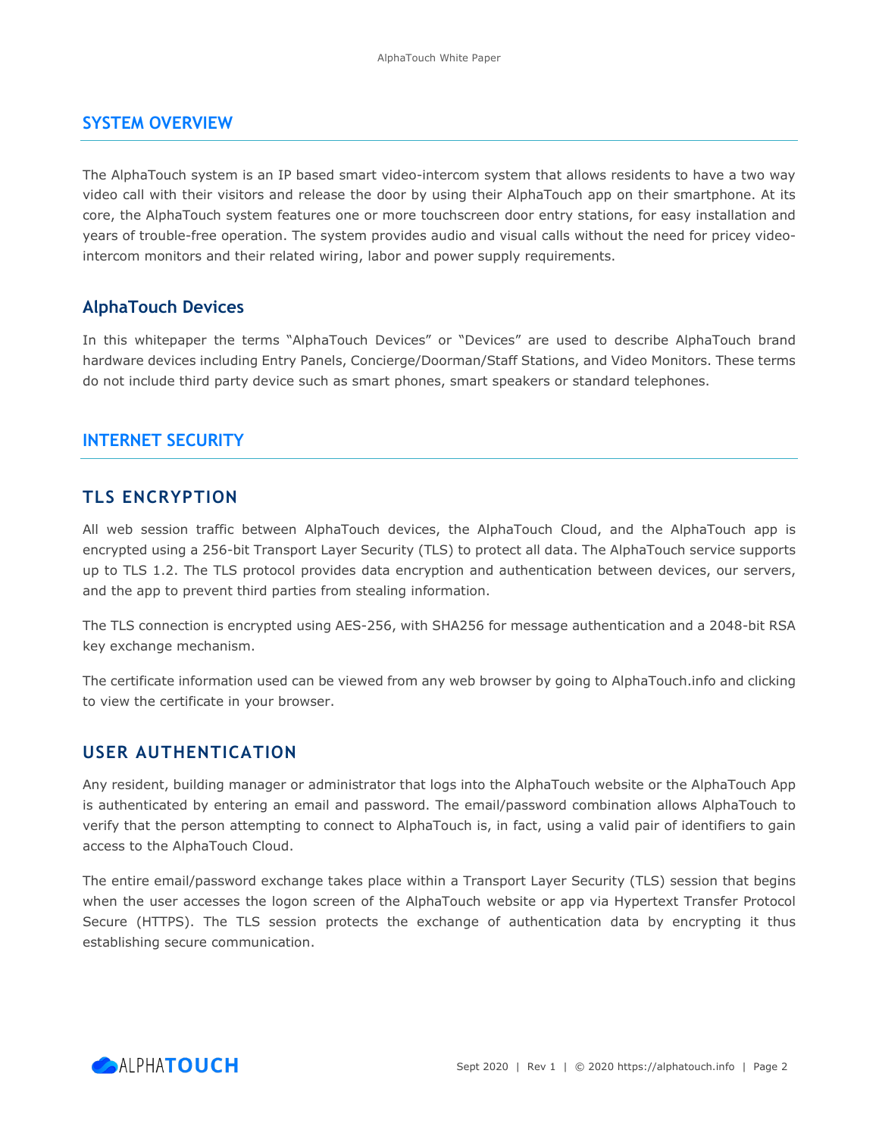#### **SYSTEM OVERVIEW**

The AlphaTouch system is an IP based smart video-intercom system that allows residents to have a two way video call with their visitors and release the door by using their AlphaTouch app on their smartphone. At its core, the AlphaTouch system features one or more touchscreen door entry stations, for easy installation and years of trouble-free operation. The system provides audio and visual calls without the need for pricey videointercom monitors and their related wiring, labor and power supply requirements.

#### **AlphaTouch Devices**

In this whitepaper the terms "AlphaTouch Devices" or "Devices" are used to describe AlphaTouch brand hardware devices including Entry Panels, Concierge/Doorman/Staff Stations, and Video Monitors. These terms do not include third party device such as smart phones, smart speakers or standard telephones.

#### **INTERNET SECURITY**

#### **TLS ENCRYPTION**

All web session traffic between AlphaTouch devices, the AlphaTouch Cloud, and the AlphaTouch app is encrypted using a 256-bit Transport Layer Security (TLS) to protect all data. The AlphaTouch service supports up to TLS 1.2. The TLS protocol provides data encryption and authentication between devices, our servers, and the app to prevent third parties from stealing information.

The TLS connection is encrypted using AES-256, with SHA256 for message authentication and a 2048-bit RSA key exchange mechanism.

The certificate information used can be viewed from any web browser by going to AlphaTouch.info and clicking to view the certificate in your browser.

## **USER AUTHENTICATION**

Any resident, building manager or administrator that logs into the AlphaTouch website or the AlphaTouch App is authenticated by entering an email and password. The email/password combination allows AlphaTouch to verify that the person attempting to connect to AlphaTouch is, in fact, using a valid pair of identifiers to gain access to the AlphaTouch Cloud.

The entire email/password exchange takes place within a Transport Layer Security (TLS) session that begins when the user accesses the logon screen of the AlphaTouch website or app via Hypertext Transfer Protocol Secure (HTTPS). The TLS session protects the exchange of authentication data by encrypting it thus establishing secure communication.

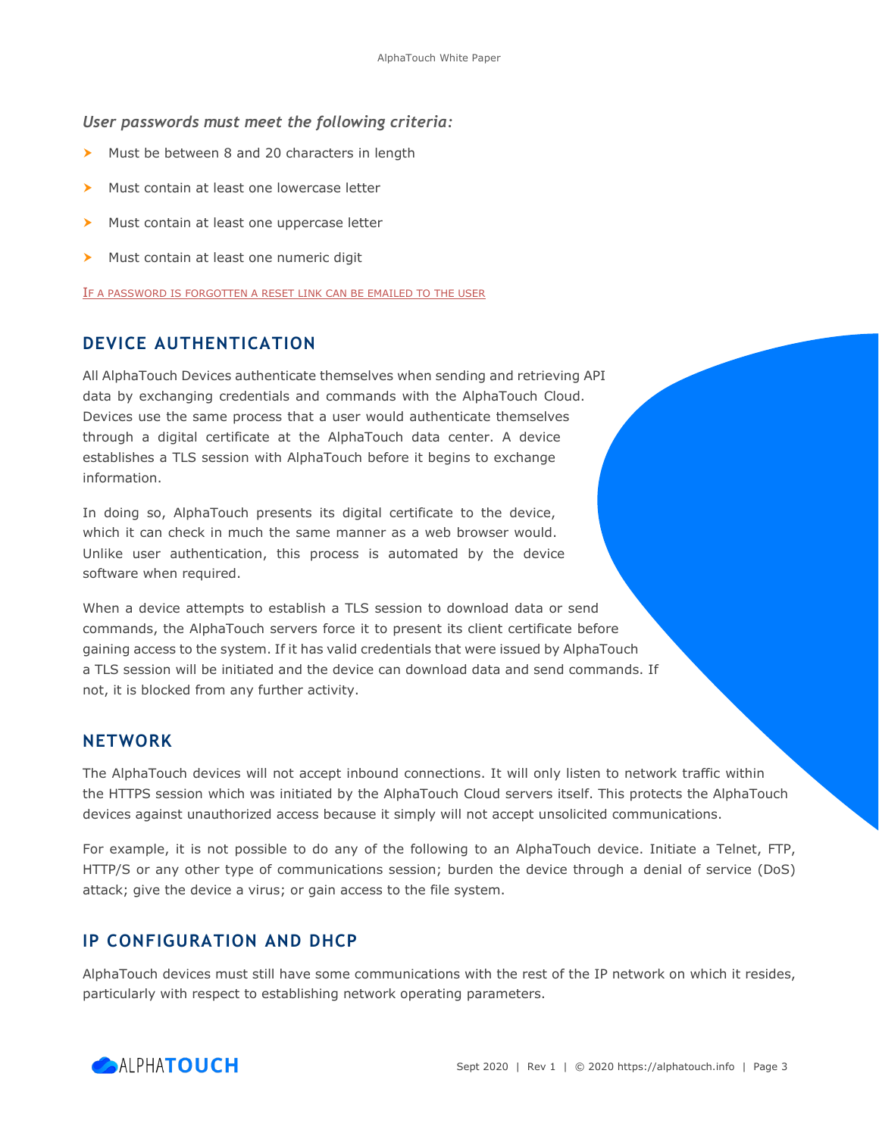#### *User passwords must meet the following criteria:*

- Must be between 8 and 20 characters in length
- Must contain at least one lowercase letter
- Must contain at least one uppercase letter
- Must contain at least one numeric digit

IF A PASSWORD IS FORGOTTEN A RESET LINK CAN BE EMAILED TO THE USER

#### **DEVICE AUTHENTICATION**

All AlphaTouch Devices authenticate themselves when sending and retrieving API data by exchanging credentials and commands with the AlphaTouch Cloud. Devices use the same process that a user would authenticate themselves through a digital certificate at the AlphaTouch data center. A device establishes a TLS session with AlphaTouch before it begins to exchange information.

In doing so, AlphaTouch presents its digital certificate to the device, which it can check in much the same manner as a web browser would. Unlike user authentication, this process is automated by the device software when required.

When a device attempts to establish a TLS session to download data or send commands, the AlphaTouch servers force it to present its client certificate before gaining access to the system. If it has valid credentials that were issued by AlphaTouch a TLS session will be initiated and the device can download data and send commands. If not, it is blocked from any further activity.

#### **NETWORK**

The AlphaTouch devices will not accept inbound connections. It will only listen to network traffic within the HTTPS session which was initiated by the AlphaTouch Cloud servers itself. This protects the AlphaTouch devices against unauthorized access because it simply will not accept unsolicited communications.

For example, it is not possible to do any of the following to an AlphaTouch device. Initiate a Telnet, FTP, HTTP/S or any other type of communications session; burden the device through a denial of service (DoS) attack; give the device a virus; or gain access to the file system.

#### **IP CONFIGURATION AND DHCP**

AlphaTouch devices must still have some communications with the rest of the IP network on which it resides, particularly with respect to establishing network operating parameters.

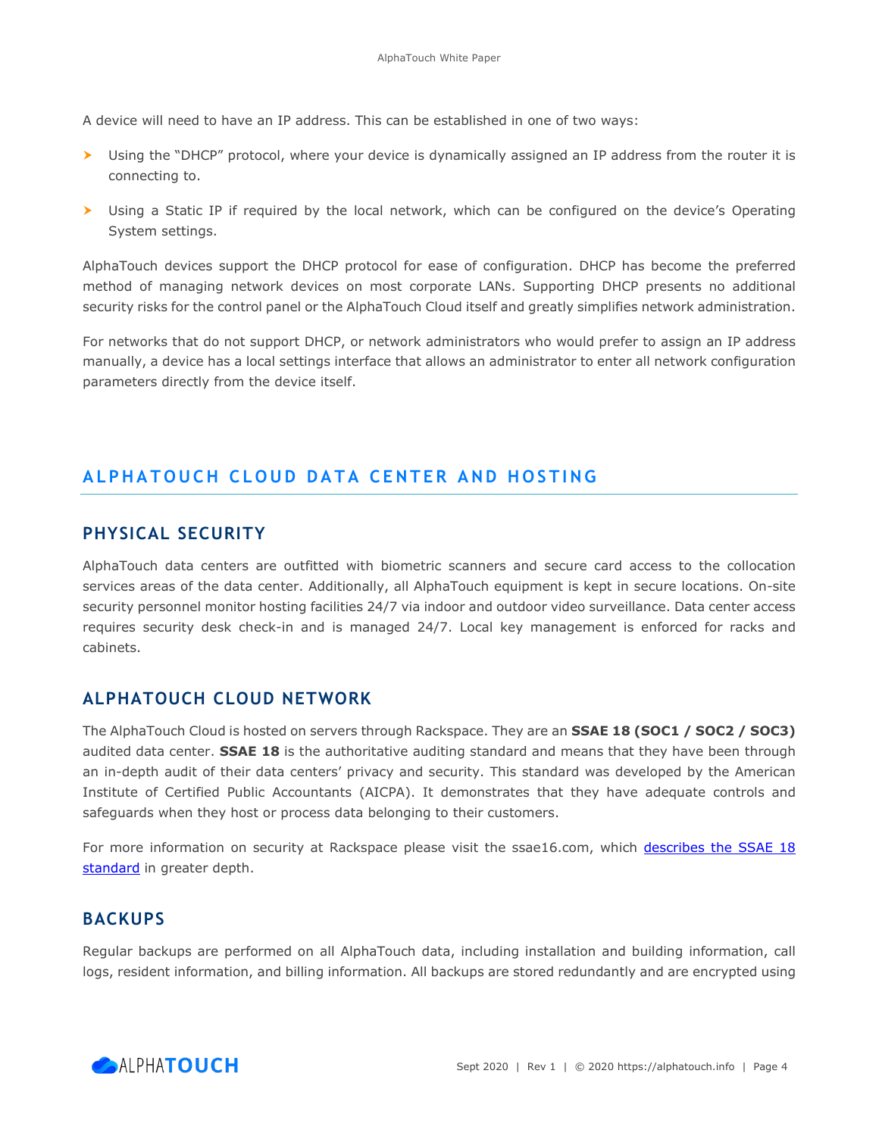A device will need to have an IP address. This can be established in one of two ways:

- Using the "DHCP" protocol, where your device is dynamically assigned an IP address from the router it is connecting to.
- Using a Static IP if required by the local network, which can be configured on the device's Operating System settings.

AlphaTouch devices support the DHCP protocol for ease of configuration. DHCP has become the preferred method of managing network devices on most corporate LANs. Supporting DHCP presents no additional security risks for the control panel or the AlphaTouch Cloud itself and greatly simplifies network administration.

For networks that do not support DHCP, or network administrators who would prefer to assign an IP address manually, a device has a local settings interface that allows an administrator to enter all network configuration parameters directly from the device itself.

# **ALPHATOUCH CLOUD DATA CENTER AND HOSTING**

# **PHYSICAL SECURITY**

AlphaTouch data centers are outfitted with biometric scanners and secure card access to the collocation services areas of the data center. Additionally, all AlphaTouch equipment is kept in secure locations. On-site security personnel monitor hosting facilities 24/7 via indoor and outdoor video surveillance. Data center access requires security desk check-in and is managed 24/7. Local key management is enforced for racks and cabinets.

# **ALPHATOUCH CLOUD NETWORK**

The AlphaTouch Cloud is hosted on servers through Rackspace. They are an **SSAE 18 (SOC1 / SOC2 / SOC3)** audited data center. **SSAE 18** is the authoritative auditing standard and means that they have been through an in-depth audit of their data centers' privacy and security. This standard was developed by the American Institute of Certified Public Accountants (AICPA). It demonstrates that they have adequate controls and safeguards when they host or process data belonging to their customers.

For more information on security at Rackspace please visit the ssae16.com, which [describes the SSAE 18](https://www.ssae-16.com/soc-1-report/the-ssae-18-audit-standard/)  [standard](https://www.ssae-16.com/soc-1-report/the-ssae-18-audit-standard/) in greater depth.

# **BACKUPS**

Regular backups are performed on all AlphaTouch data, including installation and building information, call logs, resident information, and billing information. All backups are stored redundantly and are encrypted using